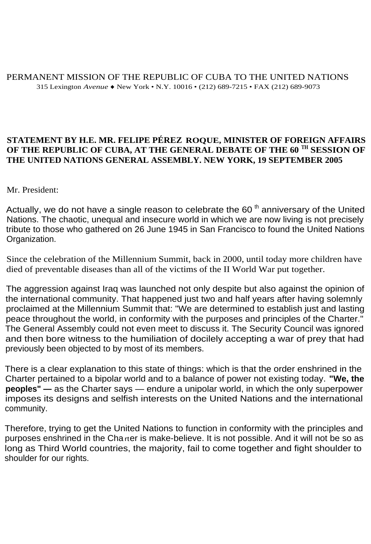## PERMANENT MISSION OF THE REPUBLIC OF CUBA TO THE UNITED NATIONS 315 Lexington *Avenue ♦* New York • N.Y. 10016 • (212) 689-7215 • FAX (212) 689-9073

## **STATEMENT BY H.E. MR. FELIPE PÉREZ ROQUE, MINISTER OF FOREIGN AFFAIRS OF THE REPUBLIC OF CUBA, AT THE GENERAL DEBATE OF THE 60 TH SESSION OF THE UNITED NATIONS GENERAL ASSEMBLY. NEW YORK, 19 SEPTEMBER 2005**

Mr. President:

Actually, we do not have a single reason to celebrate the 60 $<sup>th</sup>$  anniversary of the United</sup> Nations. The chaotic, unequal and insecure world in which we are now living is not precisely tribute to those who gathered on 26 June 1945 in San Francisco to found the United Nations Organization.

Since the celebration of the Millennium Summit, back in 2000, until today more children have died of preventable diseases than all of the victims of the II World War put together.

The aggression against Iraq was launched not only despite but also against the opinion of the international community. That happened just two and half years after having solemnly proclaimed at the Millennium Summit that: "We are determined to establish just and lasting peace throughout the world, in conformity with the purposes and principles of the Charter." The General Assembly could not even meet to discuss it. The Security Council was ignored and then bore witness to the humiliation of docilely accepting a war of prey that had previously been objected to by most of its members.

There is a clear explanation to this state of things: which is that the order enshrined in the Charter pertained to a bipolar world and to a balance of power not existing today. **"We, the peoples" —** as the Charter says — endure a unipolar world, in which the only superpower imposes its designs and selfish interests on the United Nations and the international community.

Therefore, trying to get the United Nations to function in conformity with the principles and purposes enshrined in the Cha rter is make-believe. It is not possible. And it will not be so as long as Third World countries, the majority, fail to come together and fight shoulder to shoulder for our rights.